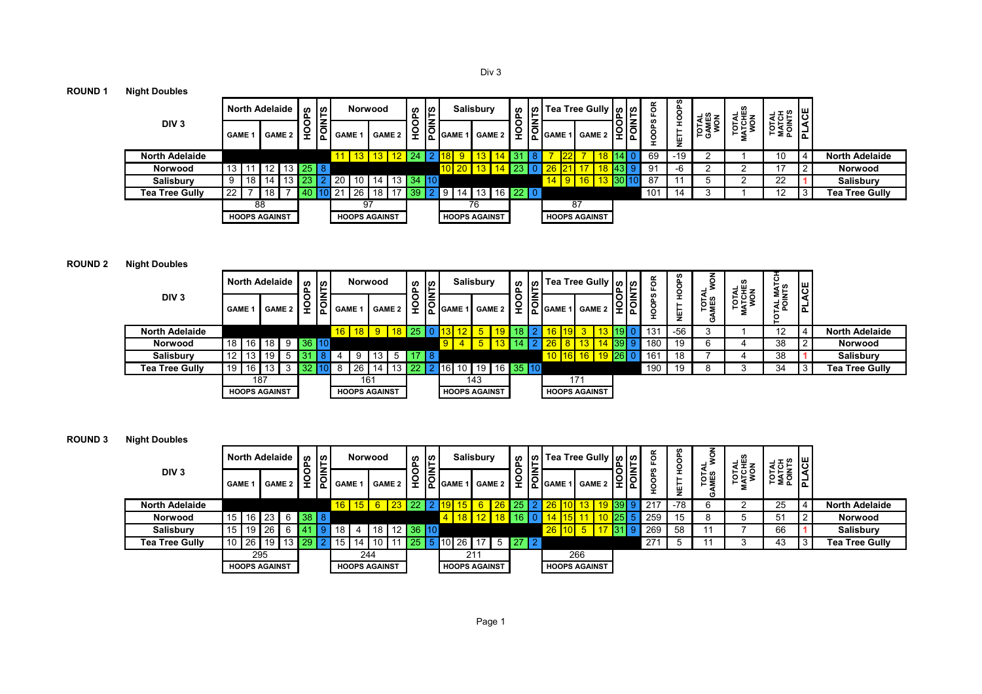Div 3

## **ROUND 1 Night Doubles**

|                       | <b>North Adelaide</b> |     |               |                 | ဖာ     | $\frac{1}{2}$<br>۰. |                | Norwood              |                 |                   | <b>SC</b><br>௨ | ူး                        |   |               | <b>Salisbury</b>     | ທ<br>௨        |   |     |              | ທ  Tea Tree Gully   ທູ   ທ |                          | FOR              | w      | ਤ ਨੂੰ ਬ | چ≝چ        | 4포트         | ଞ      |                       |
|-----------------------|-----------------------|-----|---------------|-----------------|--------|---------------------|----------------|----------------------|-----------------|-------------------|----------------|---------------------------|---|---------------|----------------------|---------------|---|-----|--------------|----------------------------|--------------------------|------------------|--------|---------|------------|-------------|--------|-----------------------|
| DIV <sub>3</sub>      | <b>GAME</b>           |     | <b>GAME 2</b> |                 | o<br>÷ | ã                   | <b>GAME 1</b>  |                      |                 | <b>GAME 2</b>     | ō              | $\overline{\overline{5}}$ |   |               | GAME 1 GAME 2        | O<br>٥        | ူ |     |              | '  GAME 1   GAME 2         | <u>이후</u>                | w<br>ô<br>۰<br>- | ш<br>z | ,eडु≤   | <b>Pus</b> | <b>PASE</b> | ⋖<br>ᅌ |                       |
| <b>North Adelaide</b> |                       |     |               |                 |        |                     |                |                      |                 | 13   13   12   24 |                |                           |   |               |                      |               |   |     |              |                            |                          | 69               | -19    |         |            | 10          |        | <b>North Adelaide</b> |
| Norwood               | 13                    |     |               | 13 <sup>1</sup> | 25 8   |                     |                |                      |                 |                   |                |                           |   |               |                      |               |   |     |              |                            |                          | 91               | -6     |         |            |             |        | Norwood               |
| Salisbury             | 9                     | 18  | 14            |                 |        |                     | $\mathsf{I}20$ | -10                  | 14 I            |                   | 13 34 10       |                           |   |               |                      |               |   | 14. | <u>  9  </u> | 16 <sup>1</sup>            | <mark>13  </mark> 30   1 | -87              |        | w       |            | 22          |        | <b>Salisbury</b>      |
| <b>Tea Tree Gully</b> | 22                    |     | 18            |                 |        |                     | 21             | -26                  | 18 <sub>1</sub> |                   |                |                           | 9 | $^{\circ}$ 14 | 131                  | $16$   22   0 |   |     |              |                            |                          | 10 <sup>1</sup>  |        |         |            | າດ          |        | Tea Tree Gully        |
|                       |                       | -88 |               |                 |        |                     |                | 97                   |                 |                   |                |                           |   |               | 76                   |               |   |     | 87           |                            |                          |                  |        |         |            |             |        |                       |
|                       | <b>HOOPS AGAINST</b>  |     |               |                 |        |                     |                | <b>HOOPS AGAINST</b> |                 |                   |                |                           |   |               | <b>HOOPS AGAINST</b> |               |   |     |              | <b>HOOPS AGAINST</b>       |                          |                  |        |         |            |             |        |                       |

## **ROUND 2 Night Doubles**

|                       | <b>North Adelaide</b> |                 |               | ഗ<br>௨ | ၊ ဟ<br>∼ – |               | Norwood              |     |               | ဖာ<br>௳ | ၂၈                                  |               | <b>Salisbury</b>     |                 |                              | <b>ഗ</b><br>൨       |          |        | တ  Tea Tree Gully   တ  တ | 이다         |   | ő   | ဖာ     | z                      | 날뿐  |                    | <b>ACE</b> |                       |
|-----------------------|-----------------------|-----------------|---------------|--------|------------|---------------|----------------------|-----|---------------|---------|-------------------------------------|---------------|----------------------|-----------------|------------------------------|---------------------|----------|--------|--------------------------|------------|---|-----|--------|------------------------|-----|--------------------|------------|-----------------------|
| DIV <sub>3</sub>      | <b>GAME 1</b>         |                 | <b>GAME 2</b> | O<br>ç | ∣ൂี        | <b>GAME 1</b> |                      |     | <b>GAME 2</b> | ĭ       | $\frac{ \mathbf{z} }{ \mathbf{z} }$ | <b>GAME 1</b> |                      |                 | GAME 2                       | O<br>$\overline{a}$ | is<br>הס | GAME 1 | <b>GAME 2</b>            | <u> 이후</u> | ۔ | ā   | ⊢<br>뮻 | <b>CON</b><br>NES<br>σ | P¤a | <b>POINTS</b><br>– | ᇍ          |                       |
| <b>North Adelaide</b> |                       |                 |               |        |            |               | $16$   $18$          |     | $18$   25     |         |                                     |               |                      |                 |                              |                     |          |        |                          |            |   | 131 | -56    | J                      |     | $12 \overline{ }$  | 4          | <b>North Adelaide</b> |
| Norwood               | 18 <sup>1</sup><br>16 | 18 <sup>1</sup> |               | 36 110 |            |               |                      |     |               |         |                                     |               |                      | 5               |                              |                     |          |        |                          |            |   | 180 | 19     | 6                      |     | 38                 |            | Norwood               |
| <b>Salisbury</b>      | 12<br>13              | 19,             |               |        |            |               | 9                    | 13. | 5             |         |                                     |               |                      |                 |                              |                     |          |        | 16 16 19 26 0            |            |   | 161 | 18     |                        |     | 38                 |            | Salisbury             |
| <b>Tea Tree Gully</b> | 19<br>16              | 13,             |               |        |            |               | 26                   |     |               |         |                                     | <b>161</b>    | 10                   | 19 <sup>1</sup> | 16 <b>  35  </b> 10 <b> </b> |                     |          |        |                          |            |   | 190 | 19     |                        |     | 34                 |            | <b>Tea Tree Gully</b> |
|                       |                       | 187             |               |        |            |               | 161                  |     |               |         |                                     |               |                      | 143             |                              |                     |          |        | 171                      |            |   |     |        |                        |     |                    |            |                       |
|                       | <b>HOOPS AGAINST</b>  |                 |               |        |            |               | <b>HOOPS AGAINST</b> |     |               |         |                                     |               | <b>HOOPS AGAINST</b> |                 |                              |                     |          |        | <b>HOOPS AGAINST</b>     |            |   |     |        |                        |     |                    |            |                       |

| <b>ROUND 3</b>        | <b>Night Doubles</b>  |                 |               |                      |               |                    |                  |                   |     |                      |          |        |        |                                                                       |                   |                      |                    |        |                                               |     |               |               |                         |       |                          |                         |                          |          |                       |
|-----------------------|-----------------------|-----------------|---------------|----------------------|---------------|--------------------|------------------|-------------------|-----|----------------------|----------|--------|--------|-----------------------------------------------------------------------|-------------------|----------------------|--------------------|--------|-----------------------------------------------|-----|---------------|---------------|-------------------------|-------|--------------------------|-------------------------|--------------------------|----------|-----------------------|
|                       |                       |                 |               | North Adelaide       |               | ഗ<br>௨             | ၊ ဟ              |                   |     | <b>Norwood</b>       |          | ທ<br>௨ | ဟ<br>⊢ |                                                                       | <b>Salisbury</b>  |                      | <b>SC</b><br>Ä.    | ၊ ဖာ ၊ | Tea Tree Gully   ທ   ທ                        |     |               |               | g                       |       |                          |                         |                          | ଞୁ       |                       |
|                       | DIV <sub>3</sub>      |                 | <b>GAME 1</b> |                      | <b>GAME 2</b> | 우                  | -<br>$ \bar{8} $ | GAME <sub>1</sub> |     | <b>GAME 2</b>        |          |        |        | $\frac{1}{2}$ $\frac{1}{2}$ $\frac{1}{2}$ $\frac{1}{2}$ $\frac{1}{2}$ |                   | <b>GAME 2</b>        | ₽                  |        | $\left \overline{\overline{Q}}\right $ GAME 1 |     | <b>GAME 2</b> | <u>ခြိုင်</u> | $\overline{\mathsf{c}}$ | ¥     | <b>DOL</b><br><b>NES</b> | TOTAL<br>MATCHES<br>WON | TOTAL<br>MATCH<br>POINTS | ᇣ        |                       |
|                       | <b>North Adelaide</b> |                 |               |                      |               |                    |                  | 16.               |     |                      |          |        |        |                                                                       |                   |                      |                    |        |                                               |     |               |               | 217                     | $-78$ |                          |                         | 25                       |          | <b>North Adelaide</b> |
|                       | Norwood               | 15 <sub>1</sub> |               | 16 23 6 38 8         |               |                    |                  |                   |     |                      |          |        |        |                                                                       |                   | 12 <sup>2</sup>      | 18                 |        |                                               |     |               | 25            | 259                     | 15    |                          | J                       | 51                       | <u>_</u> | Norwood               |
|                       | <b>Salisbury</b>      | 15 <sub>1</sub> | 19            | ' 26                 |               |                    |                  | 18.               |     | 18 <sub>1</sub>      | 12 36 10 |        |        |                                                                       |                   |                      |                    |        | 26                                            |     |               |               | 269                     | 58    |                          |                         | 66                       |          | <b>Salisbury</b>      |
| <b>Tea Tree Gully</b> |                       |                 |               | $10$ 26   19         |               | l 13 <b>i</b> 29 i |                  | $\vert$ 15        | 14  |                      |          | 25.    |        |                                                                       | <b>10 26 17  </b> |                      | $5 \mid 27 \mid 2$ |        |                                               |     |               |               | 271                     | C.    |                          |                         | 43                       | 3        | Tea Tree Gully        |
|                       |                       |                 | 295           |                      |               |                    |                  |                   | 244 |                      |          |        |        |                                                                       | 211               |                      |                    |        |                                               | 266 |               |               |                         |       |                          |                         |                          |          |                       |
|                       |                       |                 |               | <b>HOOPS AGAINST</b> |               |                    |                  |                   |     | <b>HOOPS AGAINST</b> |          |        |        |                                                                       |                   | <b>HOOPS AGAINST</b> |                    |        | <b>HOOPS AGAINST</b>                          |     |               |               |                         |       |                          |                         |                          |          |                       |